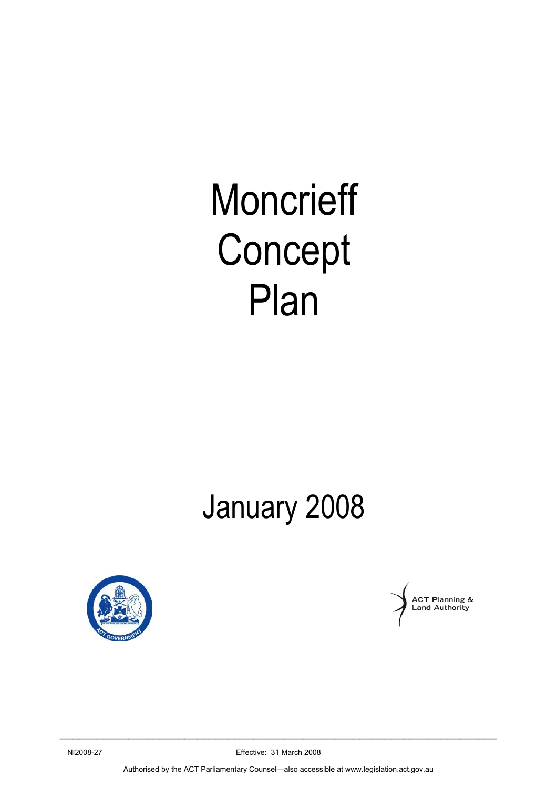# **Moncrieff** Concept Plan

# January 2008





NI2008-27 Effective: 31 March 2008  $\_$  , and the set of the set of the set of the set of the set of the set of the set of the set of the set of the set of the set of the set of the set of the set of the set of the set of the set of the set of the set of th

Authorised by the ACT Parliamentary Counsel—also accessible at www.legislation.act.gov.au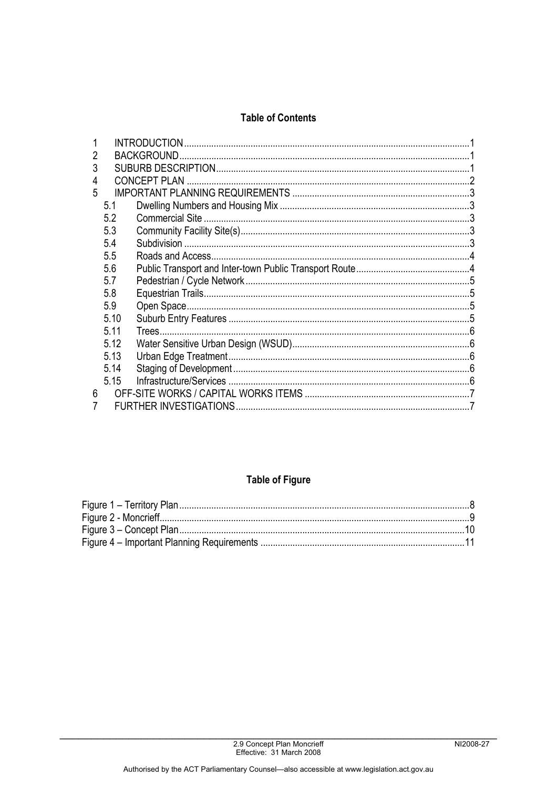# **Table of Contents**

| 5.1  |  |                                            |  |
|------|--|--------------------------------------------|--|
| 5.2  |  |                                            |  |
| 5.3  |  |                                            |  |
| 5.4  |  |                                            |  |
| 5.5  |  |                                            |  |
| 5.6  |  |                                            |  |
| 5.7  |  |                                            |  |
| 5.8  |  |                                            |  |
| 5.9  |  |                                            |  |
| 5.10 |  |                                            |  |
| 5.11 |  |                                            |  |
| 5.12 |  |                                            |  |
| 5.13 |  |                                            |  |
| 5.14 |  |                                            |  |
| 5.15 |  |                                            |  |
|      |  |                                            |  |
|      |  |                                            |  |
|      |  | <b>INTRODUCTION</b><br><b>CONCEPT PLAN</b> |  |

# **Table of Figure**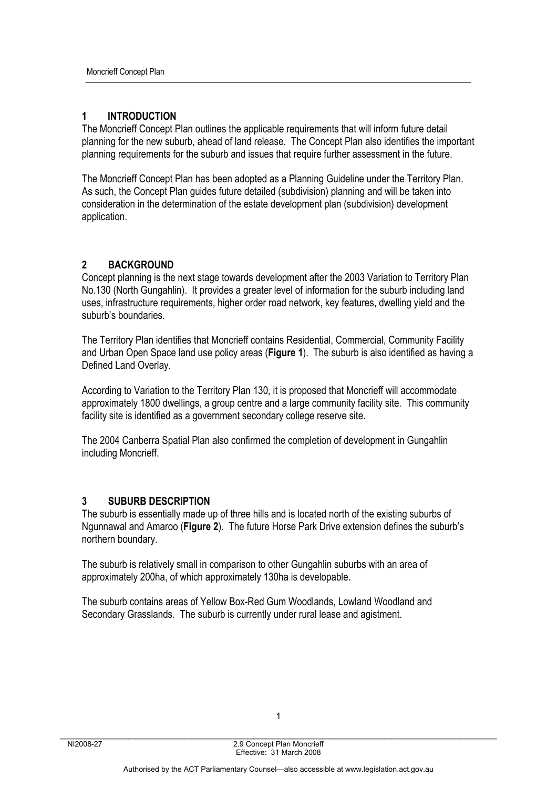# **1 INTRODUCTION**

The Moncrieff Concept Plan outlines the applicable requirements that will inform future detail planning for the new suburb, ahead of land release. The Concept Plan also identifies the important planning requirements for the suburb and issues that require further assessment in the future.

The Moncrieff Concept Plan has been adopted as a Planning Guideline under the Territory Plan. As such, the Concept Plan guides future detailed (subdivision) planning and will be taken into consideration in the determination of the estate development plan (subdivision) development application.

# **2 BACKGROUND**

Concept planning is the next stage towards development after the 2003 Variation to Territory Plan No.130 (North Gungahlin). It provides a greater level of information for the suburb including land uses, infrastructure requirements, higher order road network, key features, dwelling yield and the suburb's boundaries.

The Territory Plan identifies that Moncrieff contains Residential, Commercial, Community Facility and Urban Open Space land use policy areas (**Figure 1**). The suburb is also identified as having a Defined Land Overlay.

According to Variation to the Territory Plan 130, it is proposed that Moncrieff will accommodate approximately 1800 dwellings, a group centre and a large community facility site. This community facility site is identified as a government secondary college reserve site.

The 2004 Canberra Spatial Plan also confirmed the completion of development in Gungahlin including Moncrieff.

#### **3 SUBURB DESCRIPTION**

The suburb is essentially made up of three hills and is located north of the existing suburbs of Ngunnawal and Amaroo (**Figure 2**). The future Horse Park Drive extension defines the suburb's northern boundary.

The suburb is relatively small in comparison to other Gungahlin suburbs with an area of approximately 200ha, of which approximately 130ha is developable.

The suburb contains areas of Yellow Box-Red Gum Woodlands, Lowland Woodland and Secondary Grasslands. The suburb is currently under rural lease and agistment.

1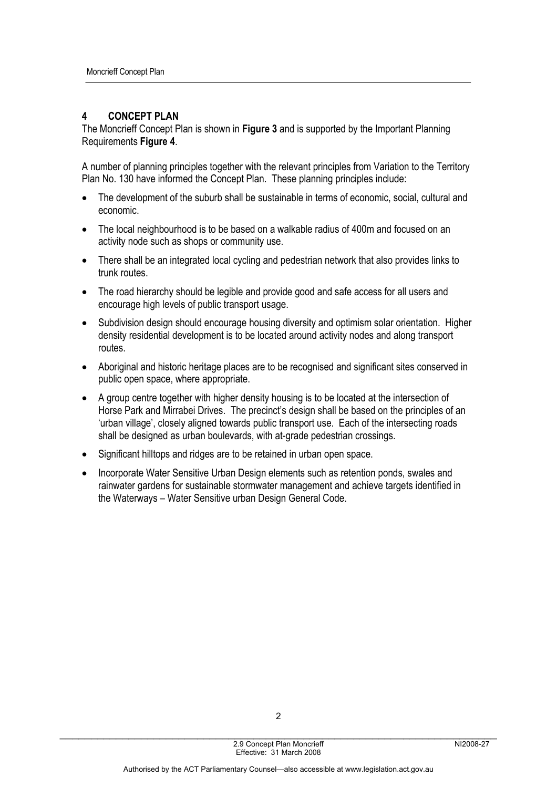# **4 CONCEPT PLAN**

The Moncrieff Concept Plan is shown in **Figure 3** and is supported by the Important Planning Requirements **Figure 4**.

A number of planning principles together with the relevant principles from Variation to the Territory Plan No. 130 have informed the Concept Plan. These planning principles include:

- The development of the suburb shall be sustainable in terms of economic, social, cultural and economic.
- The local neighbourhood is to be based on a walkable radius of 400m and focused on an activity node such as shops or community use.
- There shall be an integrated local cycling and pedestrian network that also provides links to trunk routes.
- The road hierarchy should be legible and provide good and safe access for all users and encourage high levels of public transport usage.
- Subdivision design should encourage housing diversity and optimism solar orientation. Higher density residential development is to be located around activity nodes and along transport routes.
- Aboriginal and historic heritage places are to be recognised and significant sites conserved in public open space, where appropriate.
- A group centre together with higher density housing is to be located at the intersection of Horse Park and Mirrabei Drives. The precinct's design shall be based on the principles of an 'urban village', closely aligned towards public transport use. Each of the intersecting roads shall be designed as urban boulevards, with at-grade pedestrian crossings.
- Significant hilltops and ridges are to be retained in urban open space.
- Incorporate Water Sensitive Urban Design elements such as retention ponds, swales and rainwater gardens for sustainable stormwater management and achieve targets identified in the Waterways – Water Sensitive urban Design General Code.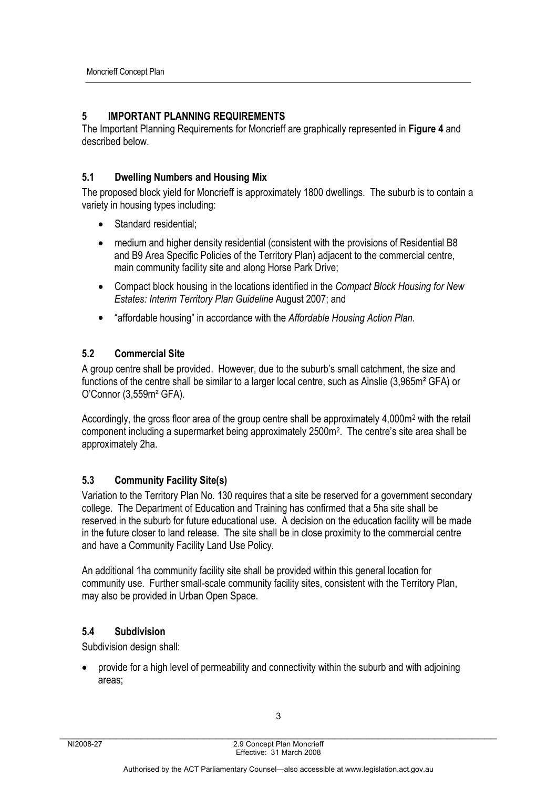# **5 IMPORTANT PLANNING REQUIREMENTS**

The Important Planning Requirements for Moncrieff are graphically represented in **Figure 4** and described below.

# **5.1 Dwelling Numbers and Housing Mix**

The proposed block yield for Moncrieff is approximately 1800 dwellings. The suburb is to contain a variety in housing types including:

- Standard residential;
- medium and higher density residential (consistent with the provisions of Residential B8 and B9 Area Specific Policies of the Territory Plan) adjacent to the commercial centre, main community facility site and along Horse Park Drive;
- Compact block housing in the locations identified in the *Compact Block Housing for New Estates: Interim Territory Plan Guideline* August 2007; and
- "affordable housing" in accordance with the *Affordable Housing Action Plan*.

# **5.2 Commercial Site**

A group centre shall be provided. However, due to the suburb's small catchment, the size and functions of the centre shall be similar to a larger local centre, such as Ainslie (3,965m² GFA) or O'Connor (3,559m² GFA).

Accordingly, the gross floor area of the group centre shall be approximately 4,000m<sup>2</sup> with the retail component including a supermarket being approximately 2500m2. The centre's site area shall be approximately 2ha.

# **5.3 Community Facility Site(s)**

Variation to the Territory Plan No. 130 requires that a site be reserved for a government secondary college. The Department of Education and Training has confirmed that a 5ha site shall be reserved in the suburb for future educational use. A decision on the education facility will be made in the future closer to land release. The site shall be in close proximity to the commercial centre and have a Community Facility Land Use Policy.

An additional 1ha community facility site shall be provided within this general location for community use. Further small-scale community facility sites, consistent with the Territory Plan, may also be provided in Urban Open Space.

# **5.4 Subdivision**

Subdivision design shall:

• provide for a high level of permeability and connectivity within the suburb and with adjoining areas;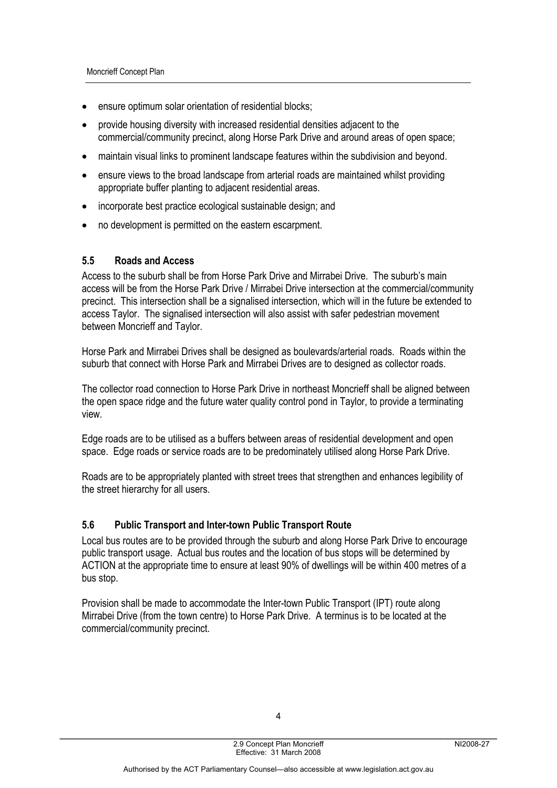- ensure optimum solar orientation of residential blocks;
- provide housing diversity with increased residential densities adjacent to the commercial/community precinct, along Horse Park Drive and around areas of open space;
- maintain visual links to prominent landscape features within the subdivision and beyond.
- ensure views to the broad landscape from arterial roads are maintained whilst providing appropriate buffer planting to adjacent residential areas.
- incorporate best practice ecological sustainable design; and
- no development is permitted on the eastern escarpment.

#### **5.5 Roads and Access**

Access to the suburb shall be from Horse Park Drive and Mirrabei Drive. The suburb's main access will be from the Horse Park Drive / Mirrabei Drive intersection at the commercial/community precinct. This intersection shall be a signalised intersection, which will in the future be extended to access Taylor. The signalised intersection will also assist with safer pedestrian movement between Moncrieff and Taylor.

Horse Park and Mirrabei Drives shall be designed as boulevards/arterial roads. Roads within the suburb that connect with Horse Park and Mirrabei Drives are to designed as collector roads.

The collector road connection to Horse Park Drive in northeast Moncrieff shall be aligned between the open space ridge and the future water quality control pond in Taylor, to provide a terminating view.

Edge roads are to be utilised as a buffers between areas of residential development and open space. Edge roads or service roads are to be predominately utilised along Horse Park Drive.

Roads are to be appropriately planted with street trees that strengthen and enhances legibility of the street hierarchy for all users.

#### **5.6 Public Transport and Inter-town Public Transport Route**

Local bus routes are to be provided through the suburb and along Horse Park Drive to encourage public transport usage. Actual bus routes and the location of bus stops will be determined by ACTION at the appropriate time to ensure at least 90% of dwellings will be within 400 metres of a bus stop.

Provision shall be made to accommodate the Inter-town Public Transport (IPT) route along Mirrabei Drive (from the town centre) to Horse Park Drive. A terminus is to be located at the commercial/community precinct.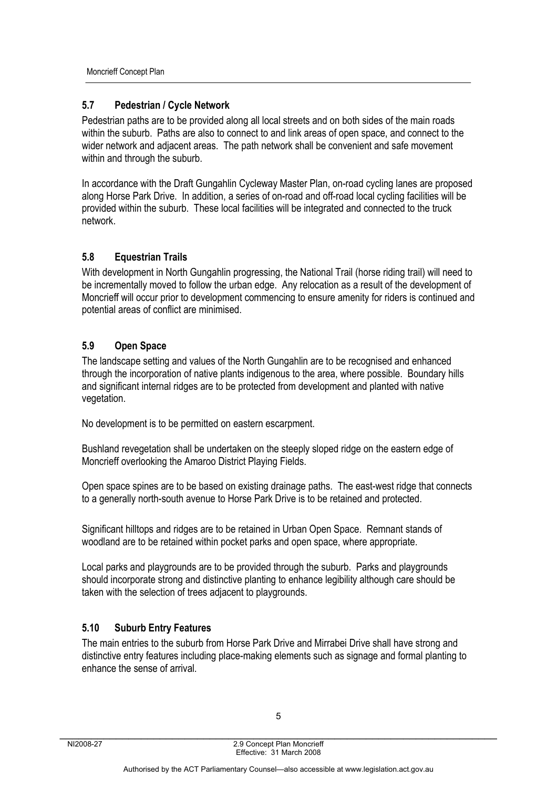Moncrieff Concept Plan

# **5.7 Pedestrian / Cycle Network**

Pedestrian paths are to be provided along all local streets and on both sides of the main roads within the suburb. Paths are also to connect to and link areas of open space, and connect to the wider network and adjacent areas. The path network shall be convenient and safe movement within and through the suburb.

In accordance with the Draft Gungahlin Cycleway Master Plan, on-road cycling lanes are proposed along Horse Park Drive. In addition, a series of on-road and off-road local cycling facilities will be provided within the suburb. These local facilities will be integrated and connected to the truck network.

# **5.8 Equestrian Trails**

With development in North Gungahlin progressing, the National Trail (horse riding trail) will need to be incrementally moved to follow the urban edge. Any relocation as a result of the development of Moncrieff will occur prior to development commencing to ensure amenity for riders is continued and potential areas of conflict are minimised.

# **5.9 Open Space**

The landscape setting and values of the North Gungahlin are to be recognised and enhanced through the incorporation of native plants indigenous to the area, where possible. Boundary hills and significant internal ridges are to be protected from development and planted with native vegetation.

No development is to be permitted on eastern escarpment.

Bushland revegetation shall be undertaken on the steeply sloped ridge on the eastern edge of Moncrieff overlooking the Amaroo District Playing Fields.

Open space spines are to be based on existing drainage paths. The east-west ridge that connects to a generally north-south avenue to Horse Park Drive is to be retained and protected.

Significant hilltops and ridges are to be retained in Urban Open Space.Remnant stands of woodland are to be retained within pocket parks and open space, where appropriate.

Local parks and playgrounds are to be provided through the suburb. Parks and playgrounds should incorporate strong and distinctive planting to enhance legibility although care should be taken with the selection of trees adjacent to playgrounds.

# **5.10 Suburb Entry Features**

The main entries to the suburb from Horse Park Drive and Mirrabei Drive shall have strong and distinctive entry features including place-making elements such as signage and formal planting to enhance the sense of arrival.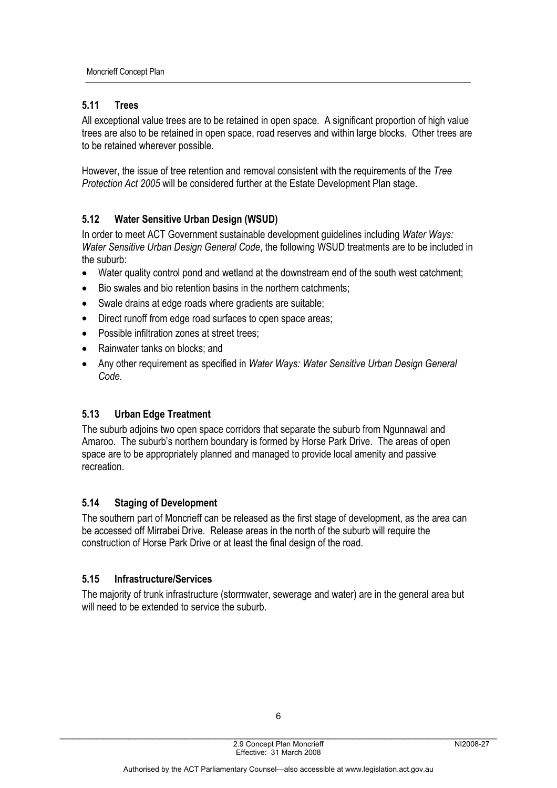# **5.11 Trees**

All exceptional value trees are to be retained in open space. A significant proportion of high value trees are also to be retained in open space, road reserves and within large blocks. Other trees are to be retained wherever possible.

However, the issue of tree retention and removal consistent with the requirements of the *Tree Protection Act 2005* will be considered further at the Estate Development Plan stage.

# **5.12 Water Sensitive Urban Design (WSUD)**

In order to meet ACT Government sustainable development guidelines including *Water Ways: Water Sensitive Urban Design General Code*, the following WSUD treatments are to be included in the suburb:

- Water quality control pond and wetland at the downstream end of the south west catchment:
- Bio swales and bio retention basins in the northern catchments;
- Swale drains at edge roads where gradients are suitable;
- Direct runoff from edge road surfaces to open space areas;
- Possible infiltration zones at street trees;
- Rainwater tanks on blocks: and
- Any other requirement as specified in *Water Ways: Water Sensitive Urban Design General Code.*

# **5.13 Urban Edge Treatment**

The suburb adjoins two open space corridors that separate the suburb from Ngunnawal and Amaroo. The suburb's northern boundary is formed by Horse Park Drive. The areas of open space are to be appropriately planned and managed to provide local amenity and passive recreation.

# **5.14 Staging of Development**

The southern part of Moncrieff can be released as the first stage of development, as the area can be accessed off Mirrabei Drive. Release areas in the north of the suburb will require the construction of Horse Park Drive or at least the final design of the road.

# **5.15 Infrastructure/Services**

The majority of trunk infrastructure (stormwater, sewerage and water) are in the general area but will need to be extended to service the suburb.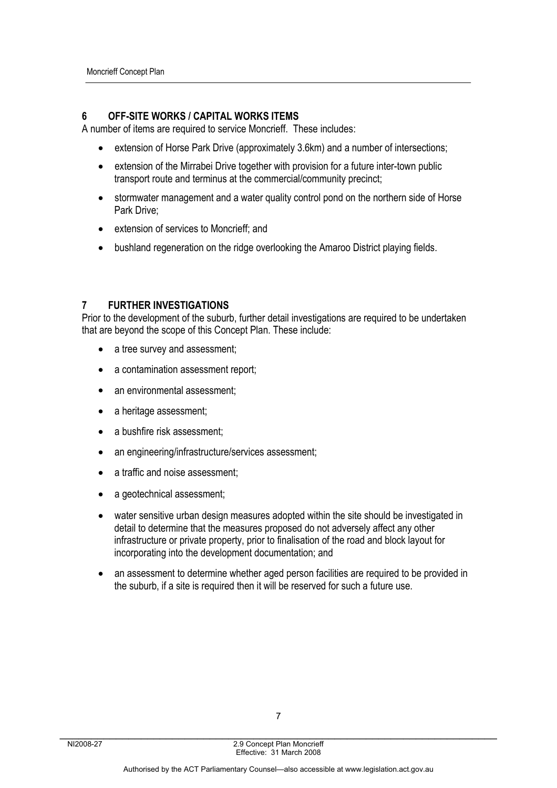#### **6 OFF-SITE WORKS / CAPITAL WORKS ITEMS**

A number of items are required to service Moncrieff. These includes:

- extension of Horse Park Drive (approximately 3.6km) and a number of intersections;
- extension of the Mirrabei Drive together with provision for a future inter-town public transport route and terminus at the commercial/community precinct;
- stormwater management and a water quality control pond on the northern side of Horse Park Drive;
- extension of services to Moncrieff; and
- bushland regeneration on the ridge overlooking the Amaroo District playing fields.

#### **7 FURTHER INVESTIGATIONS**

Prior to the development of the suburb, further detail investigations are required to be undertaken that are beyond the scope of this Concept Plan. These include:

- a tree survey and assessment;
- a contamination assessment report;
- an environmental assessment;
- a heritage assessment;
- a bushfire risk assessment;
- an engineering/infrastructure/services assessment:
- a traffic and noise assessment;
- a geotechnical assessment;
- water sensitive urban design measures adopted within the site should be investigated in detail to determine that the measures proposed do not adversely affect any other infrastructure or private property, prior to finalisation of the road and block layout for incorporating into the development documentation; and
- an assessment to determine whether aged person facilities are required to be provided in the suburb, if a site is required then it will be reserved for such a future use.

7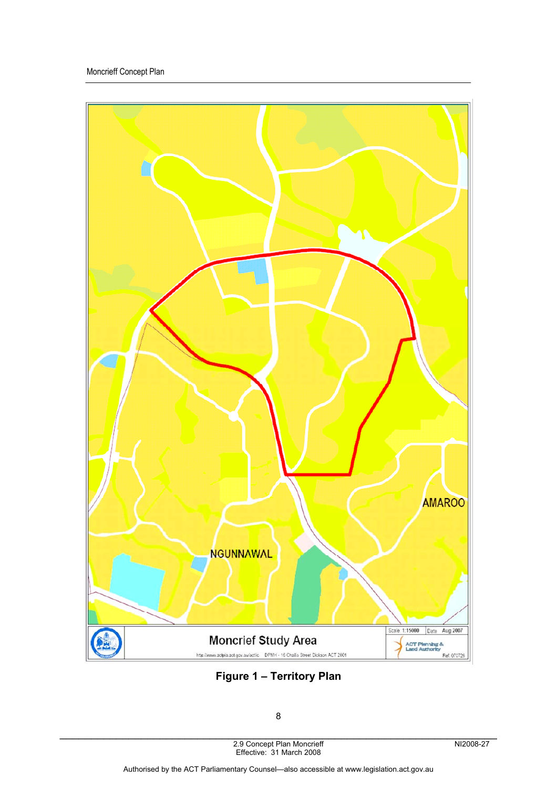

**Figure 1 – Territory Plan**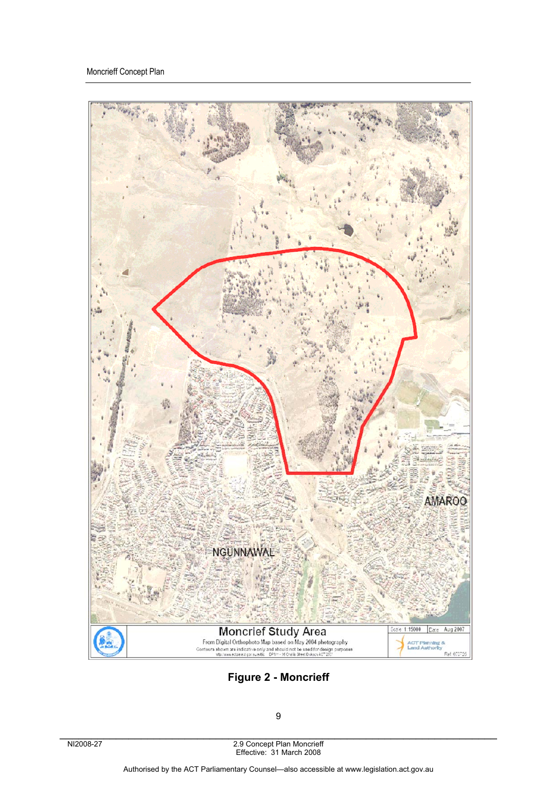

**Figure 2 - Moncrieff**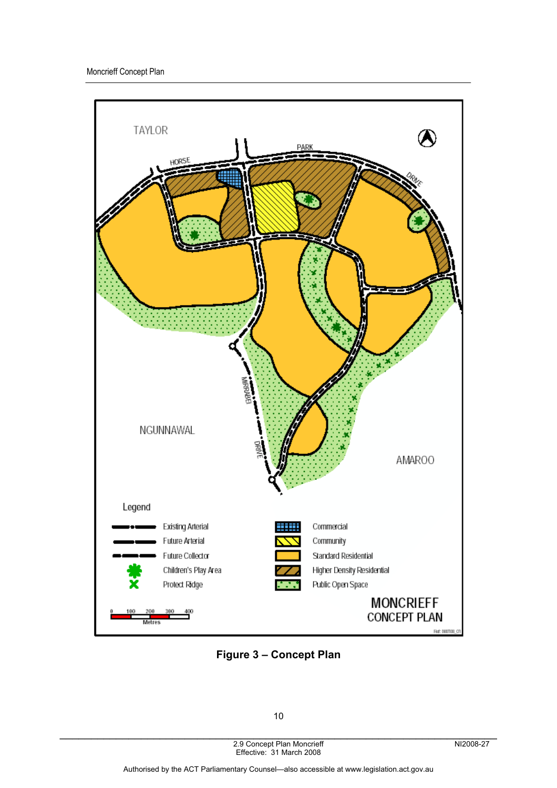

**Figure 3 – Concept Plan**